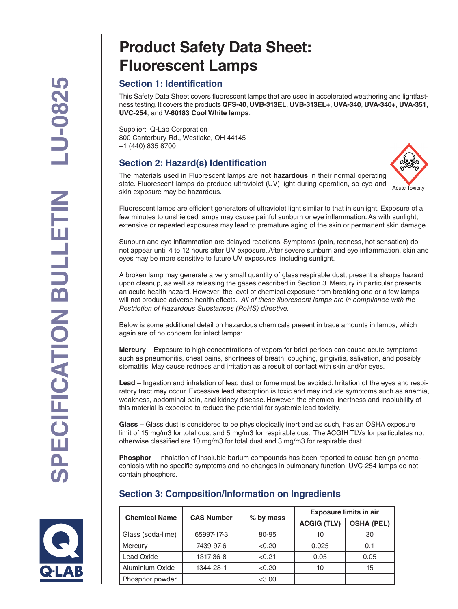# **Product Safety Data Sheet: Fluorescent Lamps**

# **Section 1: Identification**

This Safety Data Sheet covers fluorescent lamps that are used in accelerated weathering and lightfastness testing. It covers the products **QFS-40**, **UVB-313EL**, **UVB-313EL+**, **UVA-340**, **UVA-340+**, **UVA-351**, **UVC-254**, and **V-60183 Cool White lamps**.

Supplier: Q-Lab Corporation 800 Canterbury Rd., Westlake, OH 44145 +1 (440) 835 8700

# **Section 2: Hazard(s) Identification**



The materials used in Fluorescent lamps are **not hazardous** in their normal operating state. Fluorescent lamps do produce ultraviolet (UV) light during operation, so eye and skin exposure may be hazardous.

Fluorescent lamps are efficient generators of ultraviolet light similar to that in sunlight. Exposure of a few minutes to unshielded lamps may cause painful sunburn or eye inflammation. As with sunlight, extensive or repeated exposures may lead to premature aging of the skin or permanent skin damage.

Sunburn and eye inflammation are delayed reactions. Symptoms (pain, redness, hot sensation) do not appear until 4 to 12 hours after UV exposure. After severe sunburn and eye inflammation, skin and eyes may be more sensitive to future UV exposures, including sunlight.

A broken lamp may generate a very small quantity of glass respirable dust, present a sharps hazard upon cleanup, as well as releasing the gases described in Section 3. Mercury in particular presents an acute health hazard. However, the level of chemical exposure from breaking one or a few lamps will not produce adverse health effects. *All of these fluorescent lamps are in compliance with the Restriction of Hazardous Substances (RoHS) directive.*

Below is some additional detail on hazardous chemicals present in trace amounts in lamps, which again are of no concern for intact lamps:

**Mercury** – Exposure to high concentrations of vapors for brief periods can cause acute symptoms such as pneumonitis, chest pains, shortness of breath, coughing, gingivitis, salivation, and possibly stomatitis. May cause redness and irritation as a result of contact with skin and/or eyes.

**Lead** – Ingestion and inhalation of lead dust or fume must be avoided. Irritation of the eyes and respiratory tract may occur. Excessive lead absorption is toxic and may include symptoms such as anemia, weakness, abdominal pain, and kidney disease. However, the chemical inertness and insolubility of this material is expected to reduce the potential for systemic lead toxicity.

**Glass** – Glass dust is considered to be physiologically inert and as such, has an OSHA exposure limit of 15 mg/m3 for total dust and 5 mg/m3 for respirable dust. The ACGIH TLVs for particulates not otherwise classified are 10 mg/m3 for total dust and 3 mg/m3 for respirable dust.

**Phosphor** – Inhalation of insoluble barium compounds has been reported to cause benign pnemoconiosis with no specific symptoms and no changes in pulmonary function. UVC-254 lamps do not contain phosphors.



# **Section 3: Composition/Information on Ingredients**

| <b>Chemical Name</b> | <b>CAS Number</b> | % by mass | <b>Exposure limits in air</b> |                   |
|----------------------|-------------------|-----------|-------------------------------|-------------------|
|                      |                   |           | <b>ACGIG (TLV)</b>            | <b>OSHA (PEL)</b> |
| Glass (soda-lime)    | 65997-17-3        | 80-95     | 10                            | 30                |
| <b>Mercury</b>       | 7439-97-6         | < 0.20    | 0.025                         | 0.1               |
| <b>Lead Oxide</b>    | 1317-36-8         | < 0.21    | 0.05                          | 0.05              |
| Aluminium Oxide      | 1344-28-1         | < 0.20    | 10                            | 15                |
| Phosphor powder      |                   | < 3.00    |                               |                   |
|                      |                   |           |                               |                   |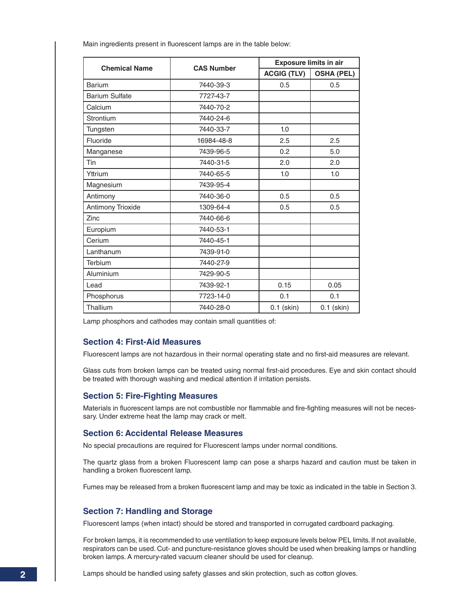| <b>Chemical Name</b>  | <b>CAS Number</b> |                    | <b>Exposure limits in air</b> |  |
|-----------------------|-------------------|--------------------|-------------------------------|--|
|                       |                   | <b>ACGIG (TLV)</b> | <b>OSHA (PEL)</b>             |  |
| Barium                | 7440-39-3         | 0.5                | 0.5                           |  |
| <b>Barium Sulfate</b> | 7727-43-7         |                    |                               |  |
| Calcium               | 7440-70-2         |                    |                               |  |
| Strontium             | 7440-24-6         |                    |                               |  |
| Tungsten              | 7440-33-7         | 1.0                |                               |  |
| Fluoride              | 16984-48-8        | 2.5                | 2.5                           |  |
| Manganese             | 7439-96-5         | 0.2                | 5.0                           |  |
| Tin                   | 7440-31-5         | 2.0                | 2.0                           |  |
| Yttrium               | 7440-65-5         | 1.0                | 1.0                           |  |
| Magnesium             | 7439-95-4         |                    |                               |  |
| Antimony              | 7440-36-0         | 0.5                | 0.5                           |  |
| Antimony Trioxide     | 1309-64-4         | 0.5                | 0.5                           |  |
| Zinc                  | 7440-66-6         |                    |                               |  |
| Europium              | 7440-53-1         |                    |                               |  |
| Cerium                | 7440-45-1         |                    |                               |  |
| Lanthanum             | 7439-91-0         |                    |                               |  |
| Terbium               | 7440-27-9         |                    |                               |  |
| Aluminium             | 7429-90-5         |                    |                               |  |
| Lead                  | 7439-92-1         | 0.15               | 0.05                          |  |
| Phosphorus            | 7723-14-0         | 0.1                | 0.1                           |  |
| Thallium              | 7440-28-0         | $0.1$ (skin)       | $0.1$ (skin)                  |  |

Main ingredients present in fluorescent lamps are in the table below:

Lamp phosphors and cathodes may contain small quantities of:

## **Section 4: First-Aid Measures**

Fluorescent lamps are not hazardous in their normal operating state and no first-aid measures are relevant.

Glass cuts from broken lamps can be treated using normal first-aid procedures. Eye and skin contact should be treated with thorough washing and medical attention if irritation persists.

#### **Section 5: Fire-Fighting Measures**

Materials in fluorescent lamps are not combustible nor flammable and fire-fighting measures will not be necessary. Under extreme heat the lamp may crack or melt.

#### **Section 6: Accidental Release Measures**

No special precautions are required for Fluorescent lamps under normal conditions.

The quartz glass from a broken Fluorescent lamp can pose a sharps hazard and caution must be taken in handling a broken fluorescent lamp.

Fumes may be released from a broken fluorescent lamp and may be toxic as indicated in the table in Section 3.

## **Section 7: Handling and Storage**

Fluorescent lamps (when intact) should be stored and transported in corrugated cardboard packaging.

For broken lamps, it is recommended to use ventilation to keep exposure levels below PEL limits. If not available, respirators can be used. Cut- and puncture-resistance gloves should be used when breaking lamps or handling broken lamps. A mercury-rated vacuum cleaner should be used for cleanup.

Lamps should be handled using safety glasses and skin protection, such as cotton gloves.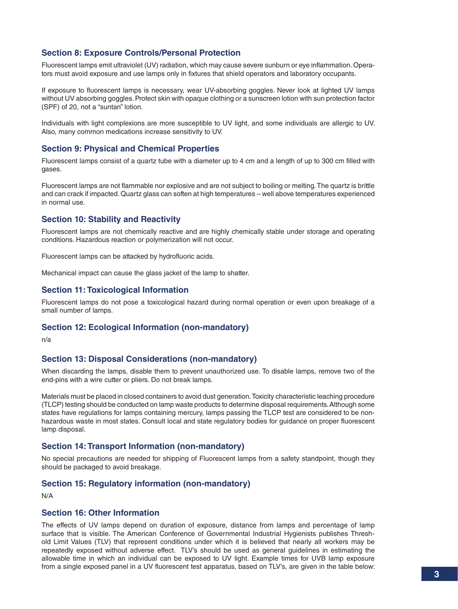## **Section 8: Exposure Controls/Personal Protection**

Fluorescent lamps emit ultraviolet (UV) radiation, which may cause severe sunburn or eye inflammation. Operators must avoid exposure and use lamps only in fixtures that shield operators and laboratory occupants.

If exposure to fluorescent lamps is necessary, wear UV-absorbing goggles. Never look at lighted UV lamps without UV absorbing goggles. Protect skin with opaque clothing or a sunscreen lotion with sun protection factor (SPF) of 20, not a "suntan" lotion.

Individuals with light complexions are more susceptible to UV light, and some individuals are allergic to UV. Also, many common medications increase sensitivity to UV.

### **Section 9: Physical and Chemical Properties**

Fluorescent lamps consist of a quartz tube with a diameter up to 4 cm and a length of up to 300 cm filled with gases.

Fluorescent lamps are not flammable nor explosive and are not subject to boiling or melting. The quartz is brittle and can crack if impacted. Quartz glass can soften at high temperatures – well above temperatures experienced in normal use.

#### **Section 10: Stability and Reactivity**

Fluorescent lamps are not chemically reactive and are highly chemically stable under storage and operating conditions. Hazardous reaction or polymerization will not occur.

Fluorescent lamps can be attacked by hydrofluoric acids.

Mechanical impact can cause the glass jacket of the lamp to shatter.

#### **Section 11: Toxicological Information**

Fluorescent lamps do not pose a toxicological hazard during normal operation or even upon breakage of a small number of lamps.

#### **Section 12: Ecological Information (non-mandatory)**

n/a

#### **Section 13: Disposal Considerations (non-mandatory)**

When discarding the lamps, disable them to prevent unauthorized use. To disable lamps, remove two of the end-pins with a wire cutter or pliers. Do not break lamps.

Materials must be placed in closed containers to avoid dust generation. Toxicity characteristic leaching procedure (TLCP) testing should be conducted on lamp waste products to determine disposal requirements. Although some states have regulations for lamps containing mercury, lamps passing the TLCP test are considered to be nonhazardous waste in most states. Consult local and state regulatory bodies for guidance on proper fluorescent lamp disposal.

#### **Section 14: Transport Information (non-mandatory)**

No special precautions are needed for shipping of Fluorescent lamps from a safety standpoint, though they should be packaged to avoid breakage.

### **Section 15: Regulatory information (non-mandatory)**

N/A

### **Section 16: Other Information**

The effects of UV lamps depend on duration of exposure, distance from lamps and percentage of lamp surface that is visible. The American Conference of Governmental Industrial Hygienists publishes Threshold Limit Values (TLV) that represent conditions under which it is believed that nearly all workers may be repeatedly exposed without adverse effect. TLV's should be used as general guidelines in estimating the allowable time in which an individual can be exposed to UV light. Example times for UVB lamp exposure from a single exposed panel in a UV fluorescent test apparatus, based on TLV's, are given in the table below: